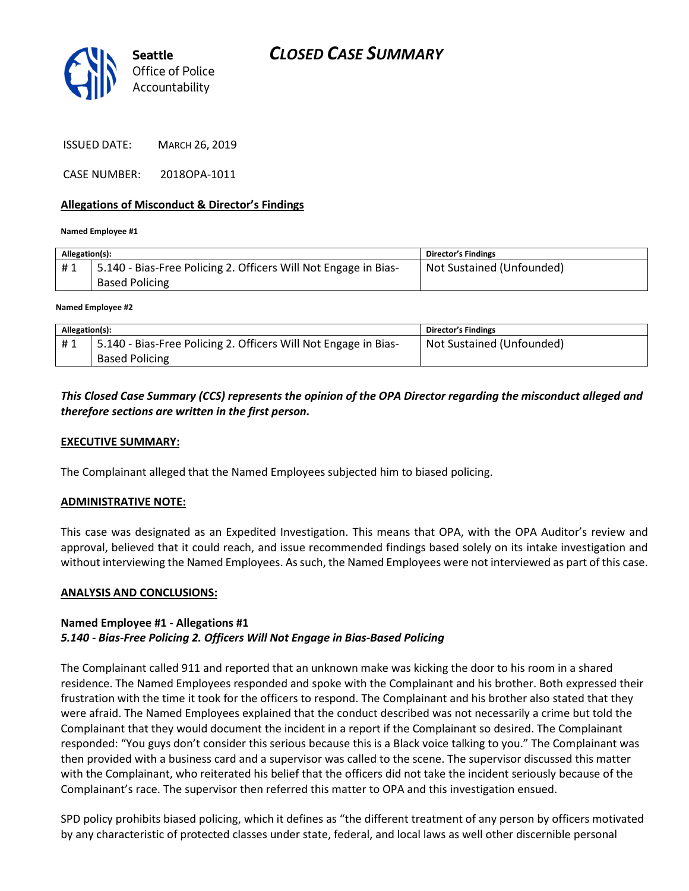

ISSUED DATE: MARCH 26, 2019

CASE NUMBER: 2018OPA-1011

### Allegations of Misconduct & Director's Findings

#### Named Employee #1

| Allegation(s): |                                                                 | <b>Director's Findings</b> |
|----------------|-----------------------------------------------------------------|----------------------------|
| #1             | 5.140 - Bias-Free Policing 2. Officers Will Not Engage in Bias- | Not Sustained (Unfounded)  |
|                | <b>Based Policing</b>                                           |                            |
|                |                                                                 |                            |

#### Named Employee #2

| Allegation(s): |                                                                 | <b>Director's Findings</b> |
|----------------|-----------------------------------------------------------------|----------------------------|
| #1             | 5.140 - Bias-Free Policing 2. Officers Will Not Engage in Bias- | Not Sustained (Unfounded)  |
|                | <b>Based Policing</b>                                           |                            |

## This Closed Case Summary (CCS) represents the opinion of the OPA Director regarding the misconduct alleged and therefore sections are written in the first person.

### EXECUTIVE SUMMARY:

The Complainant alleged that the Named Employees subjected him to biased policing.

#### ADMINISTRATIVE NOTE:

This case was designated as an Expedited Investigation. This means that OPA, with the OPA Auditor's review and approval, believed that it could reach, and issue recommended findings based solely on its intake investigation and without interviewing the Named Employees. As such, the Named Employees were not interviewed as part of this case.

#### ANALYSIS AND CONCLUSIONS:

## Named Employee #1 - Allegations #1 5.140 - Bias-Free Policing 2. Officers Will Not Engage in Bias-Based Policing

The Complainant called 911 and reported that an unknown make was kicking the door to his room in a shared residence. The Named Employees responded and spoke with the Complainant and his brother. Both expressed their frustration with the time it took for the officers to respond. The Complainant and his brother also stated that they were afraid. The Named Employees explained that the conduct described was not necessarily a crime but told the Complainant that they would document the incident in a report if the Complainant so desired. The Complainant responded: "You guys don't consider this serious because this is a Black voice talking to you." The Complainant was then provided with a business card and a supervisor was called to the scene. The supervisor discussed this matter with the Complainant, who reiterated his belief that the officers did not take the incident seriously because of the Complainant's race. The supervisor then referred this matter to OPA and this investigation ensued.

SPD policy prohibits biased policing, which it defines as "the different treatment of any person by officers motivated by any characteristic of protected classes under state, federal, and local laws as well other discernible personal